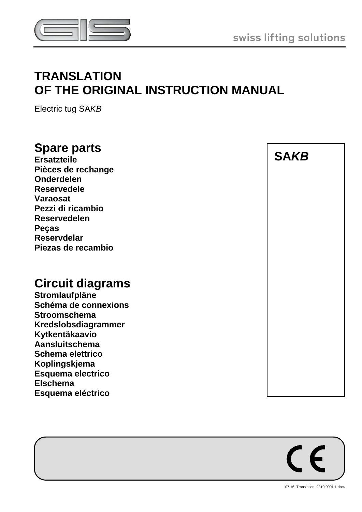# **TRANSLATION OF THE ORIGINAL INSTRUCTION MANUAL**

Electric tug SA*KB*

# **Spare parts**

| <b>Ersatzteile</b>  |
|---------------------|
| Pièces de rechange  |
| <b>Onderdelen</b>   |
| <b>Reservedele</b>  |
| <b>Varaosat</b>     |
| Pezzi di ricambio   |
| <b>Reservedelen</b> |
| <b>Peças</b>        |
| <b>Reservdelar</b>  |
| Piezas de recambio  |

# **Circuit diagrams**

**Stromlaufpläne Schéma de connexions Stroomschema Kredslobsdiagrammer Kytkentäkaavio Aansluitschema Schema elettrico Koplingskjema Esquema electrico Elschema Esquema eléctrico**



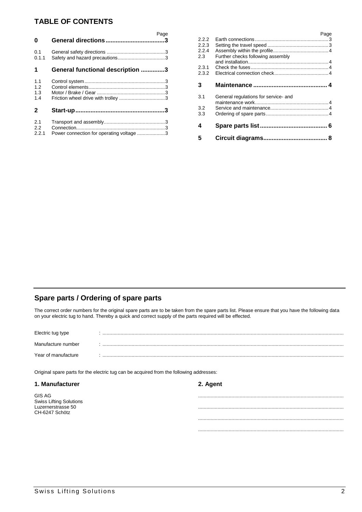# **TABLE OF CONTENTS**

| ŋ     | Page                                     |
|-------|------------------------------------------|
| 0.1   |                                          |
| 0.1.1 |                                          |
| 1     | General functional description 3         |
| 1.1   |                                          |
| 1.2   |                                          |
| 1.3   |                                          |
| 1.4   |                                          |
| 2     |                                          |
| 2.1   |                                          |
| 22    |                                          |
| 2.2.1 | Power connection for operating voltage 3 |

| 4            |                                      |      |
|--------------|--------------------------------------|------|
| 3.3          |                                      |      |
| 3.2          |                                      |      |
|              |                                      |      |
| 3.1          | General regulations for service- and |      |
| 3            |                                      |      |
| 2.3.2        |                                      |      |
| 2.3.1        |                                      |      |
|              |                                      |      |
| 2.2.4<br>2.3 | Further checks following assembly    |      |
| 2.2.3        |                                      |      |
| 2.2.2        |                                      |      |
|              |                                      | Page |

# **Spare parts / Ordering of spare parts**

The correct order numbers for the original spare parts are to be taken from the spare parts list. Please ensure that you have the following data on your electric tug to hand. Thereby a quick and correct supply of the parts required will be effected.

Electric tug type **Electric** tug type **Figure Electric** tug type **Electric** Manufacture number Year of manufacture : ..............................................................................................................................................................................

Original spare parts for the electric tug can be acquired from the following addresses:

#### **1. Manufacturer** GIS AG Swiss Lifting Solutions Luzernerstrasse 50 CH-6247 Schötz **2. Agent** ......................................................................................................... ......................................................................................................... ......................................................................................................... .........................................................................................................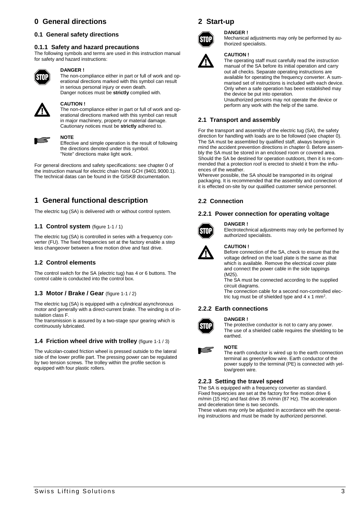# **0 General directions**

#### **0.1 General safety directions**

#### **0.1.1 Safety and hazard precautions**

The following symbols and terms are used in this instruction manual for safety and hazard instructions:



### **DANGER !**

The non-compliance either in part or full of work and operational directions marked with this symbol can result in serious personal injury or even death. Danger notices must be **strictly** complied with.



#### **CAUTION !**

The non-compliance either in part or full of work and operational directions marked with this symbol can result in major machinery, property or material damage. Cautionary notices must be **strictly** adhered to.



#### **NOTE**

Effective and simple operation is the result of following the directions denoted under this symbol. "Note" directions make light work.

For general directions and safety specifications: see chapter 0 of the instruction manual for electric chain hoist GCH (9401.9000.1). The technical datas can be found in the GIS*KB* documentation.

# **1 General functional description**

The electric tug (SA) is delivered with or without control system.

#### **1.1 Control system** (figure 1-1 / 1)

The electric tug (SA) is controlled in series with a frequency converter (FU). The fixed frequencies set at the factory enable a step less changeover between a fine motion drive and fast drive.

#### **1.2 Control elements**

The control switch for the SA (electric tug) has 4 or 6 buttons. The control cable is conducted into the control box.

#### **1.3 Motor / Brake / Gear** (figure 1-1 / 2)

The electric tug (SA) is equipped with a cylindrical asynchronous motor and generally with a direct-current brake. The winding is of insulation class F.

The transmission is assured by a two-stage spur gearing which is continuously lubricated.

#### **1.4 Friction wheel drive with trolley** (figure 1-1 / 3)

The vulcolan-coated friction wheel is pressed outside to the lateral side of the lower profile part. The pressing power can be regulated by two tension screws. The trolley within the profile section is equipped with four plastic rollers.

# **2 Start-up**



#### **DANGER !**

Mechanical adjustments may only be performed by authorized specialists.

#### **CAUTION !**



The operating staff must carefully read the instruction manual of the SA before its initial operation and carry out all checks. Separate operating instructions are available for operating the frequency converter. A summarised set of instructions is included with each device. Only when a safe operation has been established may the device be put into operation. Unauthorized persons may not operate the device or

perform any work with the help of the same.

### **2.1 Transport and assembly**

For the transport and assembly of the electric tug (SA), the safety direction for handling with loads are to be followed (see chapter 0). The SA must be assembled by qualified staff, always bearing in mind the accident prevention directions in chapter 0. Before assembly the SA must be stored in an enclosed room or covered area. Should the SA be destined for operation outdoors, then it is re-commended that a protection roof is erected to shield it from the influences of the weather.

Wherever possible, the SA should be transported in its original packaging. It is recommended that the assembly and connection of it is effected on-site by our qualified customer service personnel.

### **2.2 Connection**

#### **2.2.1 Power connection for operating voltage**



Electrotechnical adjustments may only be performed by authorized specialists.

#### **CAUTION !**

**DANGER !**

Before connection of the SA, check to ensure that the voltage defined on the load plate is the same as that which is available. Remove the electrical cover plate and connect the power cable in the side tappings (M25).

The SA must be connected according to the supplied circuit diagrams.

The connection cable for a second non-controlled electric tug must be of shielded type and  $4 \times 1$  mm<sup>2</sup>.

#### **2.2.2 Earth connections**

#### **DANGER !**



 $\sqrt{4}$ 

The protective conductor is not to carry any power. The use of a shielded cable requires the shielding to be earthed.

#### **NOTE**

The earth conductor is wired up to the earth connection terminal as green/yellow wire. Earth conductor of the power supply to the terminal (PE) is connected with yellow/green wire.

#### **2.2.3 Setting the travel speed**

The SA is equipped with a frequency converter as standard. Fixed frequencies are set at the factory for fine motion drive 6 m/min (15 Hz) and fast drive 35 m/min (87 Hz). The acceleration and deceleration time is two seconds.

These values may only be adjusted in accordance with the operating instructions and must be made by authorized personnel.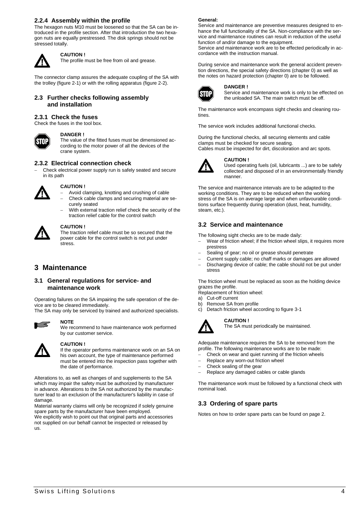#### **2.2.4 Assembly within the profile**

The hexagon nuts M10 must be loosened so that the SA can be introduced in the profile section. After that introduction the two hexagon nuts are equally prestressed. The disk springs should not be stressed totally.



#### **CAUTION !**

The profile must be free from oil and grease.

The connector clamp assures the adequate coupling of the SA with the trolley (figure 2-1) or with the rolling apparatus (figure 2-2).

#### **2.3 Further checks following assembly and installation**

#### **2.3.1 Check the fuses**

Check the fuses in the tool box.



#### **DANGER !**

The value of the fitted fuses must be dimensioned according to the motor power of all the devices of the crane system.

#### **2.3.2 Electrical connection check**

 Check electrical power supply run is safely seated and secure in its path



# **CAUTION !**

- Avoid clamping, knotting and crushing of cable Check cable clamps and securing material are se-
- curely seated With external traction relief check the security of the traction relief cable for the control switch



#### **CAUTION !**

The traction relief cable must be so secured that the power cable for the control switch is not put under stress.

# **3 Maintenance**

#### **3.1 General regulations for service- and maintenance work**

by our customer service.

Operating failures on the SA impairing the safe operation of the device are to be cleared immediately.

The SA may only be serviced by trained and authorized specialists.



**NOTE** We recommend to have maintenance work performed

#### **CAUTION !**

If the operator performs maintenance work on an SA on his own account, the type of maintenance performed must be entered into the inspection pass together with the date of performance.

Alterations to, as well as changes of and supplements to the SA which may impair the safety must be authorized by manufacturer in advance. Alterations to the SA not authorized by the manufacturer lead to an exclusion of the manufacturer's liability in case of damage.

Material warranty claims will only be recognized if solely genuine spare parts by the manufacturer have been employed. We explicitly wish to point out that original parts and accessories not supplied on our behalf cannot be inspected or released by us.

#### **General:**

Service and maintenance are preventive measures designed to enhance the full functionality of the SA. Non-compliance with the service and maintenance routines can result in reduction of the useful function of and/or damage to the equipment.

Service and maintenance work are to be effected periodically in accordance with the instruction manual.

During service and maintenance work the general accident prevention directions, the special safety directions (chapter 0) as well as the notes on hazard protection (chapter 0) are to be followed.



#### **DANGER !**

Service and maintenance work is only to be effected on the unloaded SA. The main switch must be off.

The maintenance work encompass sight checks and cleaning routines.

The service work includes additional functional checks.

During the functional checks, all securing elements and cable clamps must be checked for secure seating. Cables must be inspected for dirt, discoloration and arc spots.

**CAUTION !**

Used operating fuels (oil, lubricants ...) are to be safely collected and disposed of in an environmentally friendly manner.

The service and maintenance intervals are to be adapted to the working conditions. They are to be reduced when the working stress of the SA is on average large and when unfavourable conditions surface frequently during operation (dust, heat, humidity, steam, etc.).

#### **3.2 Service and maintenance**

The following sight checks are to be made daily:

- Wear of friction wheel; if the friction wheel slips, it requires more prestress
- Sealing of gear; no oil or grease should penetrate
- Current supply cable; no chaff marks or damages are allowed
- Discharging device of cable; the cable should not be put under stress

The friction wheel must be replaced as soon as the holding device grazes the profile.

Replacement of friction wheel:

- a) Cut-off current<br>b) Remove SA fro
- Remove SA from profile
- c) Detach friction wheel according to figure 3-1



#### **CAUTION !**

The SA must periodically be maintained.

Adequate maintenance requires the SA to be removed from the profile. The following maintenance works are to be made:

- Check on wear and quiet running of the friction wheels
- Replace any worn-out friction wheel
- Check sealing of the gear
- Replace any damaged cables or cable glands

The maintenance work must be followed by a functional check with nominal load.

# **3.3 Ordering of spare parts**

Notes on how to order spare parts can be found on page 2.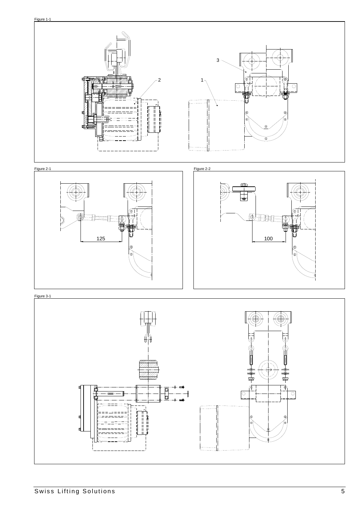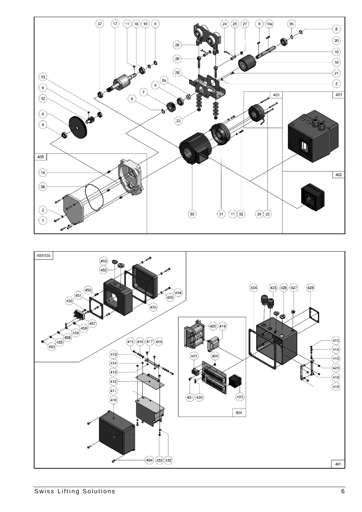

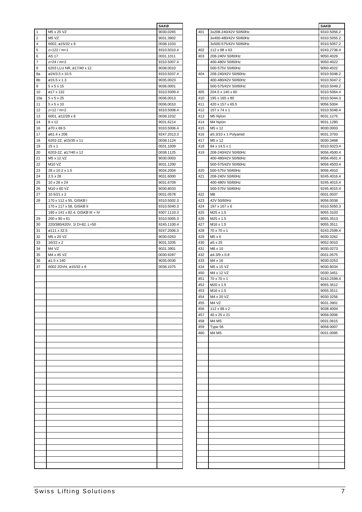|                |                                  | <b>SAKB</b> |
|----------------|----------------------------------|-------------|
| $\mathbf{1}$   | M5 x 25 VZ                       | 9030.0265   |
| $\overline{2}$ | M <sub>5</sub> V <sub>Z</sub>    | 9031.3902   |
| $\overline{4}$ | 6002, ø15/32 x 9                 | 0038.1033   |
| 5              | $z=122 / m=1$                    | 9310.5010.4 |
| 6              | AS 17                            | 0031.1011   |
| 7              | $z=24/m=2$                       | 9310.5007.4 |
| 8              | 6203 LLU NR, ø17/40 x 12         | 9038.0010   |
| 8a             | ø24/3.5 x 10.5                   | 9310.5037.4 |
| 8b             | ø15.5 x 1.3                      | 9035.0023   |
| 9              | 5x5x15                           | 9036.0001   |
| 10             | ø17 x 132                        | 9310.5009.4 |
| 10a            | 5x5x25                           | 0036.0013   |
| 11             |                                  | 0036.0010   |
|                | 5x5x10                           |             |
| 12             | $z=12/m=2$                       | 9310.5008.4 |
| 13             | 6001, ø12/28 x 8                 | 0038.1032   |
| 14             | 8 x 12                           | 9031.6214   |
| 16             | ø70 x 69.5                       | 9310.5006.4 |
| 17             | ø61.4 x 206                      | 9247.2013.3 |
| 18             | 6202-2Z, ø15/35 x 11             | 0038.1124   |
| 19             | $15 \times 1$                    | 0031.1009   |
| 20             | 6203-2Z, ø17/40 x 12             | 0038.1125   |
| 21             | M5 x 12 VZ                       | 9030.0003   |
| 22             | M10 VZ                           | 9031.1200   |
| 23             | 28 x 10.2 x 1.5                  | 9034.2004   |
| 24             | $2.5 \times 28$                  | 9031.6000   |
| 25             | 10 x 28 x 24                     | 9031.6709   |
| 26             | M10 x 60 VZ                      | 9030.8033   |
| 27             | $10.5/21 \times 2$               | 0031.0578   |
| 28             | 170 x 112 x 55, GISKBI           | 9310.5002.3 |
|                | 170 x 117 x 58, GISKB II         | 9310.5040.3 |
|                | 190 x 141 x 82.4, GISKB III + IV | 9307.1110.3 |
| 29             | 200 x 90 x 61                    | 9310.5005.3 |
| 30             |                                  | 9245.1100.4 |
|                | 220/380/420V, 1t D=62, L=50      |             |
| 31             | ø111 x 32.5                      | 9247.2006.3 |
| 32             | M5 x 20 VZ                       | 9030.0263   |
| 33             | 16/22 x 2                        | 9031.3205   |
| 34             | M4 VZ                            | 9031.3901   |
| 35             | M4 x 45 VZ                       | 0030.9287   |
| 36             | ø1.5 x 140                       | 9035.0030   |
| 37             | 6002 2DVH, ø15/32 x 9            | 0038.1075   |
|                |                                  |             |
|                |                                  |             |
|                |                                  |             |
|                |                                  |             |
|                |                                  |             |
|                |                                  |             |
|                |                                  |             |
|                |                                  |             |
|                |                                  |             |
|                |                                  |             |
|                |                                  |             |
|                |                                  |             |
|                |                                  |             |
|                |                                  |             |
|                |                                  |             |
|                |                                  |             |
|                |                                  |             |
|                |                                  |             |
|                |                                  |             |
|                |                                  |             |
|                |                                  |             |
|                |                                  |             |
|                |                                  |             |
|                |                                  |             |
|                |                                  |             |
|                |                                  |             |
|                |                                  |             |
|                |                                  |             |
|                |                                  |             |
|                |                                  |             |
|                |                                  |             |
|                |                                  |             |
|                |                                  |             |
|                |                                  |             |
|                |                                  |             |

|     |                       | SAKB        |
|-----|-----------------------|-------------|
| 401 | 3x208-240/42V 50/60Hz | 9310.5056.2 |
|     | 3x400-480/42V 50/60Hz | 9310.5055.2 |
|     | 3x500-575/42V 50/60Hz | 9310.5057.2 |
| 402 | 112 x 98 x 63         | 9243.2736.4 |
| 403 | 208-240V 50/60Hz      | 9050.4029   |
|     |                       |             |
|     | 400-480V 50/60Hz      | 9050.4022   |
|     | 500-575V 50/60Hz      | 9050.4022   |
| 404 | 208-240/42V 50/60Hz   | 9310.5048.2 |
|     | 400-480/42V 50/60Hz   | 9310.5047.2 |
|     | 500-575/42V 50/60Hz   | 9310.5049.2 |
| 405 | 204.5 x 140 x 60      | 9310.5064.4 |
| 410 | 195 x 165 x 80        | 9310.5044.3 |
|     |                       |             |
| 411 | 420 x 157 x 65.5      | 9056.5004   |
| 412 | 157 x 74 x 1          | 9310.5046.4 |
| 413 | M5 Nylon              | 9031.1275   |
| 414 | M4 Nylon              | 9031.1280   |
| 415 | M5 x 12               | 9030.0003   |
| 416 | ø5.3/10 x 1 Polyamid  | 9031.3703   |
| 417 | M5 x 12               | 0030.3468   |
|     |                       |             |
| 418 | 84 x 14.5 x 1         | 9310.5023.4 |
| 419 | 208-240/42V 50/60Hz   | 9056.4500.4 |
|     | 400-480/42V 50/60Hz   | 9056.4501.4 |
|     | 500-575/42V 50/60Hz   | 9056.4503.4 |
| 420 | 500-575V 50/60Hz      | 9056.4910   |
| 421 | 208-240V 50/60Hz      | 9245.4016.4 |
|     |                       |             |
|     | 400-480V 50/60Hz      | 9245.4015.4 |
|     | 500-575V 50/60Hz      | 9245.4015.4 |
| 422 | M <sub>6</sub>        | 0031.0037   |
| 423 | 42V 50/60Hz           | 9056.0038   |
| 424 | 197 x 167 x 6         | 9310.5050.3 |
| 425 | M25 x 1.5             | 9055.3103   |
| 426 | M25 x 1.5             | 9055.3513   |
|     |                       |             |
| 427 | M <sub>16</sub> x 1.5 | 9055.3511   |
| 428 | 70 x 70 x 1           | 9243.2599.4 |
| 429 | $M5 \times 6$         | 9030.3262   |
| 430 | ø5 x 25               | 9052.0010   |
| 431 | M6 x 10               | 9030.0273   |
| 432 | ø4.3/9 x 0.8          | 0031.0575   |
|     |                       |             |
| 433 | M4 x 16               | 9030.0253   |
| 434 | M5 x 15 VZ            | 9030.8034   |
| 450 | M4 x 12 VZ            | 0030.3451   |
| 451 | 70 x 70 x 1           | 9243.2599.4 |
| 452 | M20 x 1.5             | 9055.3512   |
| 453 | M16 x 1.5             | 9055.3511   |
| 454 | M4 x 20 VZ            | 9030.3256   |
|     |                       |             |
| 455 | M4 VZ                 | 9031.3901   |
| 456 | 112 x 98 x 2          | 9038.4004   |
| 457 | 40 x 25 x 21          | 9058.0006   |
| 458 | M4 MS                 | 0031.0615   |
| 459 | Type 56               | 9058.0007   |
| 460 | M4 MS                 | 0031.0095   |
|     |                       |             |
|     |                       |             |
|     |                       |             |
|     |                       |             |
|     |                       |             |
|     |                       |             |
|     |                       |             |
|     |                       |             |
|     |                       |             |
|     |                       |             |
|     |                       |             |
|     |                       |             |
|     |                       |             |
|     |                       |             |
|     |                       |             |
|     |                       |             |
|     |                       |             |
|     |                       |             |
|     |                       |             |
|     |                       |             |
|     |                       |             |
|     |                       |             |
|     |                       |             |
|     |                       |             |
|     |                       |             |
|     |                       |             |
|     |                       |             |